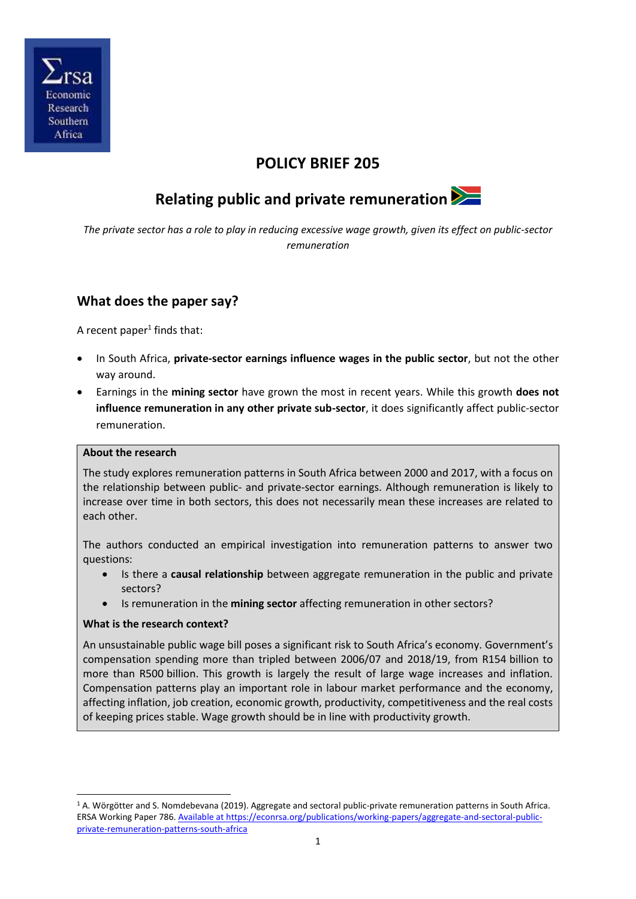

## **POLICY BRIEF 205**

# **Relating public and private remuneration**

*The private sector has a role to play in reducing excessive wage growth, given its effect on public-sector remuneration*

## **What does the paper say?**

A recent paper<sup>1</sup> finds that:

- In South Africa, **private-sector earnings influence wages in the public sector**, but not the other way around.
- Earnings in the **mining sector** have grown the most in recent years. While this growth **does not influence remuneration in any other private sub-sector**, it does significantly affect public-sector remuneration.

#### **About the research**

The study explores remuneration patterns in South Africa between 2000 and 2017, with a focus on the relationship between public- and private-sector earnings. Although remuneration is likely to increase over time in both sectors, this does not necessarily mean these increases are related to each other.

The authors conducted an empirical investigation into remuneration patterns to answer two questions:

- Is there a **causal relationship** between aggregate remuneration in the public and private sectors?
- Is remuneration in the **mining sector** affecting remuneration in other sectors?

#### **What is the research context?**

-

An unsustainable public wage bill poses a significant risk to South Africa's economy. Government's compensation spending more than tripled between 2006/07 and 2018/19, from R154 billion to more than R500 billion. This growth is largely the result of large wage increases and inflation. Compensation patterns play an important role in labour market performance and the economy, affecting inflation, job creation, economic growth, productivity, competitiveness and the real costs of keeping prices stable. Wage growth should be in line with productivity growth.

<sup>1</sup> A. Wörgötter and S. Nomdebevana (2019). Aggregate and sectoral public-private remuneration patterns in South Africa. ERSA Working Paper 786. Available a[t https://econrsa.org/publications/working-papers/aggregate-and-sectoral-public](https://econrsa.org/publications/working-papers/aggregate-and-sectoral-public-private-remuneration-patterns-south-africa)[private-remuneration-patterns-south-africa](https://econrsa.org/publications/working-papers/aggregate-and-sectoral-public-private-remuneration-patterns-south-africa)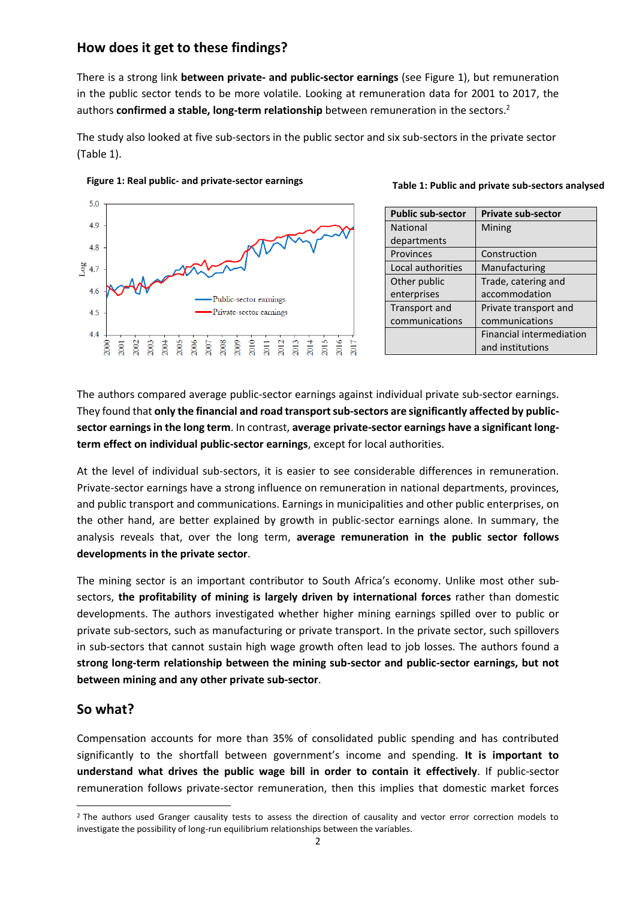## **How does it get to these findings?**

There is a strong link **between private- and public-sector earnings** (see Figure 1), but remuneration in the public sector tends to be more volatile. Looking at remuneration data for 2001 to 2017, the authors **confirmed a stable, long-term relationship** between remuneration in the sectors. 2

The study also looked at five sub-sectors in the public sector and six sub-sectors in the private sector (Table 1).



#### **Figure 1: Real public- and private-sector earnings**

**Table 1: Public and private sub-sectors analysed**

| <b>Public sub-sector</b> | <b>Private sub-sector</b> |
|--------------------------|---------------------------|
| National                 | Mining                    |
| departments              |                           |
| Provinces                | Construction              |
| Local authorities        | Manufacturing             |
| Other public             | Trade, catering and       |
| enterprises              | accommodation             |
| Transport and            | Private transport and     |
| communications           | communications            |
|                          | Financial intermediation  |
|                          | and institutions          |

The authors compared average public-sector earnings against individual private sub-sector earnings. They found that **only the financial and road transportsub-sectors are significantly affected by publicsector earnings in the long term**. In contrast, **average private-sector earnings have a significant longterm effect on individual public-sector earnings**, except for local authorities.

At the level of individual sub-sectors, it is easier to see considerable differences in remuneration. Private-sector earnings have a strong influence on remuneration in national departments, provinces, and public transport and communications. Earnings in municipalities and other public enterprises, on the other hand, are better explained by growth in public-sector earnings alone. In summary, the analysis reveals that, over the long term, **average remuneration in the public sector follows developments in the private sector**.

The mining sector is an important contributor to South Africa's economy. Unlike most other subsectors, **the profitability of mining is largely driven by international forces** rather than domestic developments. The authors investigated whether higher mining earnings spilled over to public or private sub-sectors, such as manufacturing or private transport. In the private sector, such spillovers in sub-sectors that cannot sustain high wage growth often lead to job losses. The authors found a **strong long-term relationship between the mining sub-sector and public-sector earnings, but not between mining and any other private sub-sector**.

## **So what?**

-

Compensation accounts for more than 35% of consolidated public spending and has contributed significantly to the shortfall between government's income and spending. **It is important to understand what drives the public wage bill in order to contain it effectively**. If public-sector remuneration follows private-sector remuneration, then this implies that domestic market forces

<sup>&</sup>lt;sup>2</sup> The authors used Granger causality tests to assess the direction of causality and vector error correction models to investigate the possibility of long-run equilibrium relationships between the variables.